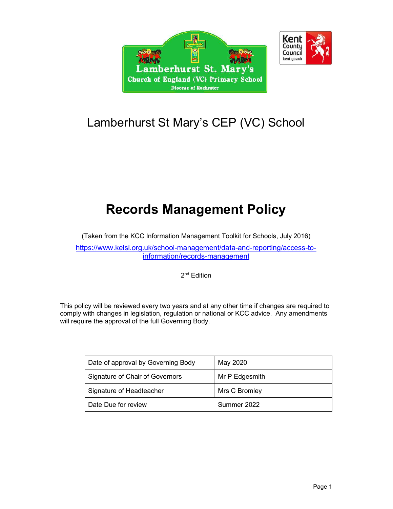



# Lamberhurst St Mary's CEP (VC) School

# Records Management Policy

(Taken from the KCC Information Management Toolkit for Schools, July 2016) https://www.kelsi.org.uk/school-management/data-and-reporting/access-toinformation/records-management

2<sup>nd</sup> Edition

This policy will be reviewed every two years and at any other time if changes are required to comply with changes in legislation, regulation or national or KCC advice. Any amendments will require the approval of the full Governing Body.

| Date of approval by Governing Body | May 2020       |
|------------------------------------|----------------|
| Signature of Chair of Governors    | Mr P Edgesmith |
| Signature of Headteacher           | Mrs C Bromley  |
| Date Due for review                | Summer 2022    |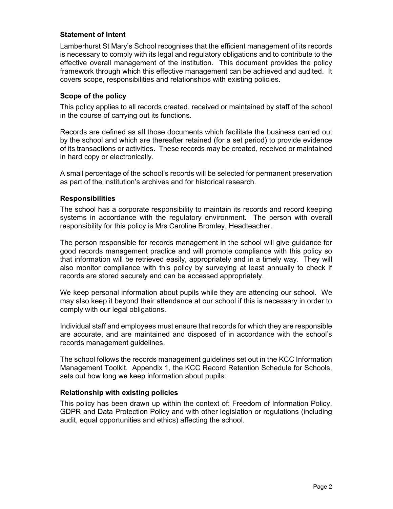#### Statement of Intent

Lamberhurst St Mary's School recognises that the efficient management of its records is necessary to comply with its legal and regulatory obligations and to contribute to the effective overall management of the institution. This document provides the policy framework through which this effective management can be achieved and audited. It covers scope, responsibilities and relationships with existing policies.

#### Scope of the policy

This policy applies to all records created, received or maintained by staff of the school in the course of carrying out its functions.

Records are defined as all those documents which facilitate the business carried out by the school and which are thereafter retained (for a set period) to provide evidence of its transactions or activities. These records may be created, received or maintained in hard copy or electronically.

A small percentage of the school's records will be selected for permanent preservation as part of the institution's archives and for historical research.

#### **Responsibilities**

The school has a corporate responsibility to maintain its records and record keeping systems in accordance with the regulatory environment. The person with overall responsibility for this policy is Mrs Caroline Bromley, Headteacher.

The person responsible for records management in the school will give guidance for good records management practice and will promote compliance with this policy so that information will be retrieved easily, appropriately and in a timely way. They will also monitor compliance with this policy by surveying at least annually to check if records are stored securely and can be accessed appropriately.

We keep personal information about pupils while they are attending our school. We may also keep it beyond their attendance at our school if this is necessary in order to comply with our legal obligations.

Individual staff and employees must ensure that records for which they are responsible are accurate, and are maintained and disposed of in accordance with the school's records management guidelines.

The school follows the records management guidelines set out in the KCC Information Management Toolkit. Appendix 1, the KCC Record Retention Schedule for Schools, sets out how long we keep information about pupils:

#### Relationship with existing policies

This policy has been drawn up within the context of: Freedom of Information Policy, GDPR and Data Protection Policy and with other legislation or regulations (including audit, equal opportunities and ethics) affecting the school.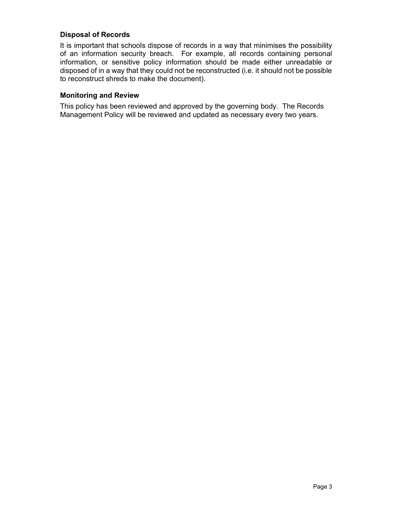#### Disposal of Records

It is important that schools dispose of records in a way that minimises the possibility of an information security breach. For example, all records containing personal information, or sensitive policy information should be made either unreadable or disposed of in a way that they could not be reconstructed (i.e. it should not be possible to reconstruct shreds to make the document).

#### Monitoring and Review

This policy has been reviewed and approved by the governing body. The Records Management Policy will be reviewed and updated as necessary every two years.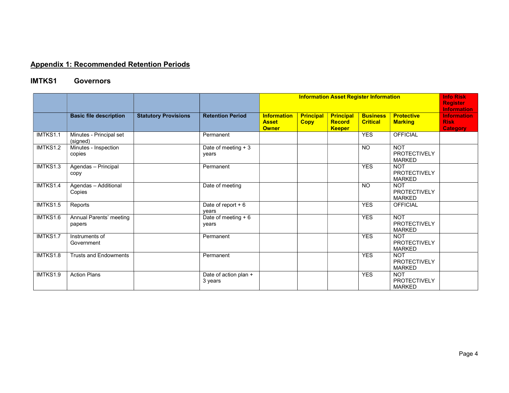### Appendix 1: Recommended Retention Periods

### IMTKS1 Governors

|          |                                     |                             |                                  |                                                    |                                 |                                                    | <b>Information Asset Register Information</b> |                                                    | <b>Info Risk</b><br><b>Register</b><br><b>Information</b> |
|----------|-------------------------------------|-----------------------------|----------------------------------|----------------------------------------------------|---------------------------------|----------------------------------------------------|-----------------------------------------------|----------------------------------------------------|-----------------------------------------------------------|
|          | <b>Basic file description</b>       | <b>Statutory Provisions</b> | <b>Retention Period</b>          | <b>Information</b><br><b>Asset</b><br><b>Owner</b> | <b>Principal</b><br><b>Copy</b> | <b>Principal</b><br><b>Record</b><br><b>Keeper</b> | <b>Business</b><br><b>Critical</b>            | <b>Protective</b><br><b>Marking</b>                | <b>Information</b><br><b>Risk</b><br><b>Category</b>      |
| IMTKS1.1 | Minutes - Principal set<br>(signed) |                             | Permanent                        |                                                    |                                 |                                                    | <b>YES</b>                                    | <b>OFFICIAL</b>                                    |                                                           |
| IMTKS1.2 | Minutes - Inspection<br>copies      |                             | Date of meeting $+3$<br>years    |                                                    |                                 |                                                    | <b>NO</b>                                     | <b>NOT</b><br><b>PROTECTIVELY</b><br><b>MARKED</b> |                                                           |
| IMTKS1.3 | Agendas - Principal<br>copy         |                             | Permanent                        |                                                    |                                 |                                                    | <b>YES</b>                                    | <b>NOT</b><br><b>PROTECTIVELY</b><br><b>MARKED</b> |                                                           |
| IMTKS1.4 | Agendas - Additional<br>Copies      |                             | Date of meeting                  |                                                    |                                 |                                                    | <b>NO</b>                                     | <b>NOT</b><br><b>PROTECTIVELY</b><br><b>MARKED</b> |                                                           |
| IMTKS1.5 | Reports                             |                             | Date of report $+6$<br>vears     |                                                    |                                 |                                                    | <b>YES</b>                                    | <b>OFFICIAL</b>                                    |                                                           |
| IMTKS1.6 | Annual Parents' meeting<br>papers   |                             | Date of meeting $+6$<br>years    |                                                    |                                 |                                                    | <b>YES</b>                                    | <b>NOT</b><br><b>PROTECTIVELY</b><br><b>MARKED</b> |                                                           |
| IMTKS1.7 | Instruments of<br>Government        |                             | Permanent                        |                                                    |                                 |                                                    | <b>YES</b>                                    | <b>NOT</b><br><b>PROTECTIVELY</b><br><b>MARKED</b> |                                                           |
| IMTKS1.8 | <b>Trusts and Endowments</b>        |                             | Permanent                        |                                                    |                                 |                                                    | <b>YES</b>                                    | <b>NOT</b><br><b>PROTECTIVELY</b><br><b>MARKED</b> |                                                           |
| IMTKS1.9 | <b>Action Plans</b>                 |                             | Date of action plan +<br>3 years |                                                    |                                 |                                                    | <b>YES</b>                                    | <b>NOT</b><br><b>PROTECTIVELY</b><br><b>MARKED</b> |                                                           |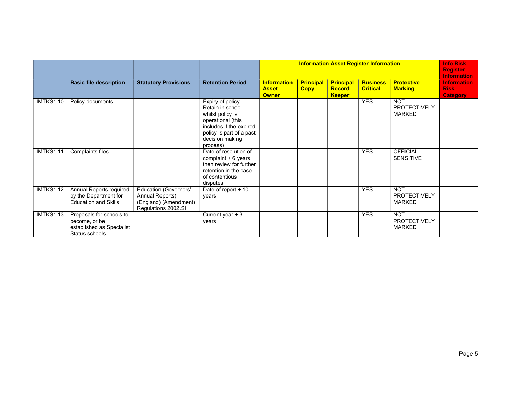|                  |                                                                                          |                                                                                                 |                                                                                                                                                                     |                                                    |                                 |                                                    | <b>Information Asset Register Information</b> |                                                    | <b>Info Risk</b><br><b>Register</b><br><b>Information</b> |
|------------------|------------------------------------------------------------------------------------------|-------------------------------------------------------------------------------------------------|---------------------------------------------------------------------------------------------------------------------------------------------------------------------|----------------------------------------------------|---------------------------------|----------------------------------------------------|-----------------------------------------------|----------------------------------------------------|-----------------------------------------------------------|
|                  | <b>Basic file description</b>                                                            | <b>Statutory Provisions</b>                                                                     | <b>Retention Period</b>                                                                                                                                             | <b>Information</b><br><b>Asset</b><br><b>Owner</b> | <b>Principal</b><br><b>Copy</b> | <b>Principal</b><br><b>Record</b><br><b>Keeper</b> | <b>Business</b><br><b>Critical</b>            | <b>Protective</b><br><b>Marking</b>                | <b>Information</b><br><b>Risk</b><br><b>Category</b>      |
| <b>IMTKS1.10</b> | Policy documents                                                                         |                                                                                                 | Expiry of policy<br>Retain in school<br>whilst policy is<br>operational (this<br>includes if the expired<br>policy is part of a past<br>decision making<br>process) |                                                    |                                 |                                                    | <b>YES</b>                                    | <b>NOT</b><br><b>PROTECTIVELY</b><br><b>MARKED</b> |                                                           |
| IMTKS1.11        | <b>Complaints files</b>                                                                  |                                                                                                 | Date of resolution of<br>complaint $+6$ years<br>then review for further<br>retention in the case<br>of contentious<br>disputes                                     |                                                    |                                 |                                                    | <b>YES</b>                                    | <b>OFFICIAL</b><br><b>SENSITIVE</b>                |                                                           |
| <b>IMTKS1.12</b> | Annual Reports required<br>by the Department for<br><b>Education and Skills</b>          | <b>Education (Governors'</b><br>Annual Reports)<br>(England) (Amendment)<br>Regulations 2002.SI | Date of report + 10<br>years                                                                                                                                        |                                                    |                                 |                                                    | <b>YES</b>                                    | <b>NOT</b><br><b>PROTECTIVELY</b><br><b>MARKED</b> |                                                           |
| IMTKS1.13        | Proposals for schools to<br>become, or be<br>established as Specialist<br>Status schools |                                                                                                 | Current year $+3$<br>years                                                                                                                                          |                                                    |                                 |                                                    | <b>YES</b>                                    | <b>NOT</b><br><b>PROTECTIVELY</b><br><b>MARKED</b> |                                                           |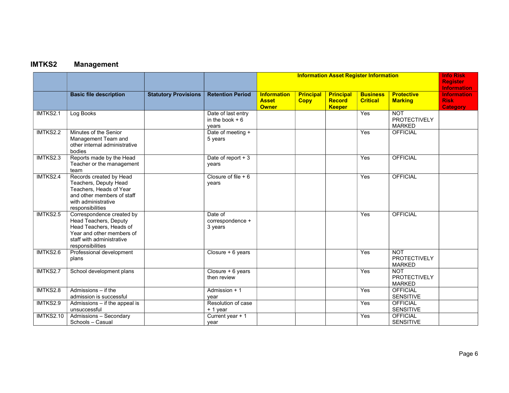# IMTKS2 Management

|                  |                                                                                                                                                             |                             |                                                 |                                                    |                                 |                                                    | <b>Information Asset Register Information</b> |                                                    | <b>Info Risk</b><br><b>Register</b><br><b>Information</b> |
|------------------|-------------------------------------------------------------------------------------------------------------------------------------------------------------|-----------------------------|-------------------------------------------------|----------------------------------------------------|---------------------------------|----------------------------------------------------|-----------------------------------------------|----------------------------------------------------|-----------------------------------------------------------|
|                  | <b>Basic file description</b>                                                                                                                               | <b>Statutory Provisions</b> | <b>Retention Period</b>                         | <b>Information</b><br><b>Asset</b><br><b>Owner</b> | <b>Principal</b><br><b>Copy</b> | <b>Principal</b><br><b>Record</b><br><b>Keeper</b> | <b>Business</b><br><b>Critical</b>            | <b>Protective</b><br><b>Marking</b>                | <b>Information</b><br><b>Risk</b><br><b>Category</b>      |
| IMTKS2.1         | Log Books                                                                                                                                                   |                             | Date of last entry<br>in the book $+6$<br>vears |                                                    |                                 |                                                    | Yes                                           | <b>NOT</b><br><b>PROTECTIVELY</b><br><b>MARKED</b> |                                                           |
| IMTKS2.2         | Minutes of the Senior<br>Management Team and<br>other internal administrative<br>bodies                                                                     |                             | Date of meeting +<br>5 years                    |                                                    |                                 |                                                    | Yes                                           | <b>OFFICIAL</b>                                    |                                                           |
| IMTKS2.3         | Reports made by the Head<br>Teacher or the management<br>team                                                                                               |                             | Date of report + 3<br>years                     |                                                    |                                 |                                                    | Yes                                           | <b>OFFICIAL</b>                                    |                                                           |
| IMTKS2.4         | Records created by Head<br>Teachers, Deputy Head<br>Teachers, Heads of Year<br>and other members of staff<br>with administrative<br>responsibilities        |                             | Closure of file $+6$<br>years                   |                                                    |                                 |                                                    | Yes                                           | <b>OFFICIAL</b>                                    |                                                           |
| IMTKS2.5         | Correspondence created by<br>Head Teachers, Deputy<br>Head Teachers, Heads of<br>Year and other members of<br>staff with administrative<br>responsibilities |                             | Date of<br>correspondence +<br>3 years          |                                                    |                                 |                                                    | <b>Yes</b>                                    | <b>OFFICIAL</b>                                    |                                                           |
| IMTKS2.6         | Professional development<br>plans                                                                                                                           |                             | Closure + 6 years                               |                                                    |                                 |                                                    | Yes                                           | <b>NOT</b><br><b>PROTECTIVELY</b><br><b>MARKED</b> |                                                           |
| IMTKS2.7         | School development plans                                                                                                                                    |                             | Closure + 6 years<br>then review                |                                                    |                                 |                                                    | Yes                                           | <b>NOT</b><br><b>PROTECTIVELY</b><br><b>MARKED</b> |                                                           |
| IMTKS2.8         | Admissions - if the<br>admission is successful                                                                                                              |                             | Admission + 1<br>year                           |                                                    |                                 |                                                    | Yes                                           | <b>OFFICIAL</b><br><b>SENSITIVE</b>                |                                                           |
| IMTKS2.9         | $\overline{\mathsf{Admissions}} - \mathsf{if}$ the appeal is<br>unsuccessful                                                                                |                             | Resolution of case<br>+ 1 year                  |                                                    |                                 |                                                    | Yes                                           | <b>OFFICIAL</b><br><b>SENSITIVE</b>                |                                                           |
| <b>IMTKS2.10</b> | <b>Admissions - Secondary</b><br>Schools - Casual                                                                                                           |                             | Current year + 1<br>year                        |                                                    |                                 |                                                    | Yes                                           | <b>OFFICIAL</b><br><b>SENSITIVE</b>                |                                                           |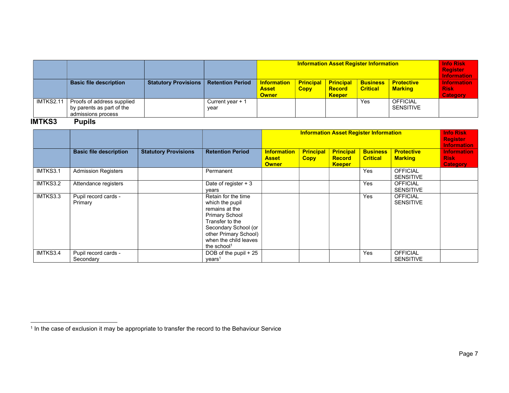|                  |                                                                               |                             |                           |                                                    | <b>Info Risk</b><br><b>Register</b><br><b>Information</b> |                                                    |                                    |                                     |                                                      |
|------------------|-------------------------------------------------------------------------------|-----------------------------|---------------------------|----------------------------------------------------|-----------------------------------------------------------|----------------------------------------------------|------------------------------------|-------------------------------------|------------------------------------------------------|
|                  | <b>Basic file description</b>                                                 | <b>Statutory Provisions</b> | <b>Retention Period</b>   | <b>Information</b><br><b>Asset</b><br><b>Owner</b> | <b>Principal</b><br><b>Copy</b>                           | <b>Principal</b><br><b>Record</b><br><b>Keeper</b> | <b>Business</b><br><b>Critical</b> | <b>Protective</b><br><b>Marking</b> | <b>Information</b><br><b>Risk</b><br><b>Category</b> |
| <b>IMTKS2.11</b> | Proofs of address supplied<br>by parents as part of the<br>admissions process |                             | Current year $+1$<br>year |                                                    |                                                           |                                                    | Yes                                | <b>OFFICIAL</b><br><b>SENSITIVE</b> |                                                      |

### IMTKS3 Pupils

|          |                                   |                             |                                                                                                                                                                                                           |                                                    | <b>Information Asset Register Information</b> |                                                    |                                    |                                     |                                                      |  |
|----------|-----------------------------------|-----------------------------|-----------------------------------------------------------------------------------------------------------------------------------------------------------------------------------------------------------|----------------------------------------------------|-----------------------------------------------|----------------------------------------------------|------------------------------------|-------------------------------------|------------------------------------------------------|--|
|          | <b>Basic file description</b>     | <b>Statutory Provisions</b> | <b>Retention Period</b>                                                                                                                                                                                   | <b>Information</b><br><b>Asset</b><br><b>Owner</b> | <b>Principal</b><br><b>Copy</b>               | <b>Principal</b><br><b>Record</b><br><b>Keeper</b> | <b>Business</b><br><b>Critical</b> | <b>Protective</b><br><b>Marking</b> | <b>Information</b><br><b>Risk</b><br><b>Category</b> |  |
| IMTKS3.1 | <b>Admission Registers</b>        |                             | Permanent                                                                                                                                                                                                 |                                                    |                                               |                                                    | Yes                                | <b>OFFICIAL</b><br><b>SENSITIVE</b> |                                                      |  |
| IMTKS3.2 | Attendance registers              |                             | Date of register + 3<br>years                                                                                                                                                                             |                                                    |                                               |                                                    | Yes                                | <b>OFFICIAL</b><br><b>SENSITIVE</b> |                                                      |  |
| IMTKS3.3 | Pupil record cards -<br>Primary   |                             | Retain for the time<br>which the pupil<br>remains at the<br><b>Primary School</b><br>Transfer to the<br>Secondary School (or<br>other Primary School)<br>when the child leaves<br>the school <sup>1</sup> |                                                    |                                               |                                                    | Yes                                | <b>OFFICIAL</b><br><b>SENSITIVE</b> |                                                      |  |
| IMTKS3.4 | Pupil record cards -<br>Secondary |                             | DOB of the pupil + 25<br>years <sup>1</sup>                                                                                                                                                               |                                                    |                                               |                                                    | Yes                                | <b>OFFICIAL</b><br><b>SENSITIVE</b> |                                                      |  |

<sup>&</sup>lt;sup>1</sup> In the case of exclusion it may be appropriate to transfer the record to the Behaviour Service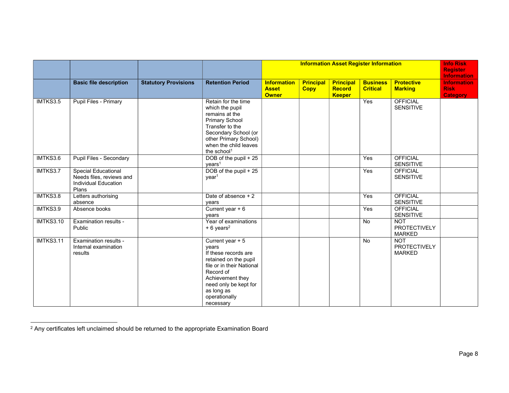|                  |                                                                                         |                             |                                                                                                                                                                                                               |                                                    |                                 |                                                    | <b>Information Asset Register Information</b> |                                                    | <b>Info Risk</b><br><b>Register</b><br><b>Information</b> |
|------------------|-----------------------------------------------------------------------------------------|-----------------------------|---------------------------------------------------------------------------------------------------------------------------------------------------------------------------------------------------------------|----------------------------------------------------|---------------------------------|----------------------------------------------------|-----------------------------------------------|----------------------------------------------------|-----------------------------------------------------------|
|                  | <b>Basic file description</b>                                                           | <b>Statutory Provisions</b> | <b>Retention Period</b>                                                                                                                                                                                       | <b>Information</b><br><b>Asset</b><br><b>Owner</b> | <b>Principal</b><br><b>Copy</b> | <b>Principal</b><br><b>Record</b><br><b>Keeper</b> | <b>Business</b><br><b>Critical</b>            | <b>Protective</b><br><b>Marking</b>                | <b>Information</b><br><b>Risk</b><br><b>Category</b>      |
| IMTKS3.5         | Pupil Files - Primary                                                                   |                             | Retain for the time<br>which the pupil<br>remains at the<br><b>Primary School</b><br>Transfer to the<br>Secondary School (or<br>other Primary School)<br>when the child leaves<br>the school <sup>1</sup>     |                                                    |                                 |                                                    | Yes                                           | <b>OFFICIAL</b><br><b>SENSITIVE</b>                |                                                           |
| IMTKS3.6         | Pupil Files - Secondary                                                                 |                             | DOB of the pupil + 25<br>years <sup>1</sup>                                                                                                                                                                   |                                                    |                                 |                                                    | Yes                                           | <b>OFFICIAL</b><br><b>SENSITIVE</b>                |                                                           |
| IMTKS3.7         | <b>Special Educational</b><br>Needs files, reviews and<br>Individual Education<br>Plans |                             | DOB of the pupil + 25<br>year <sup>1</sup>                                                                                                                                                                    |                                                    |                                 |                                                    | Yes                                           | <b>OFFICIAL</b><br><b>SENSITIVE</b>                |                                                           |
| IMTKS3.8         | Letters authorising<br>absence                                                          |                             | Date of absence + 2<br>years                                                                                                                                                                                  |                                                    |                                 |                                                    | Yes                                           | <b>OFFICIAL</b><br><b>SENSITIVE</b>                |                                                           |
| IMTKS3.9         | Absence books                                                                           |                             | Current year $+6$<br>years                                                                                                                                                                                    |                                                    |                                 |                                                    | Yes                                           | <b>OFFICIAL</b><br><b>SENSITIVE</b>                |                                                           |
| <b>IMTKS3.10</b> | <b>Examination results -</b><br>Public                                                  |                             | Year of examinations<br>$+6$ years <sup>2</sup>                                                                                                                                                               |                                                    |                                 |                                                    | <b>No</b>                                     | <b>NOT</b><br><b>PROTECTIVELY</b><br><b>MARKED</b> |                                                           |
| <b>IMTKS3.11</b> | Examination results -<br>Internal examination<br>results                                |                             | Current year + 5<br>years<br>If these records are<br>retained on the pupil<br>file or in their National<br>Record of<br>Achievement they<br>need only be kept for<br>as long as<br>operationally<br>necessary |                                                    |                                 |                                                    | <b>No</b>                                     | <b>NOT</b><br><b>PROTECTIVELY</b><br><b>MARKED</b> |                                                           |

<sup>2</sup> Any certificates left unclaimed should be returned to the appropriate Examination Board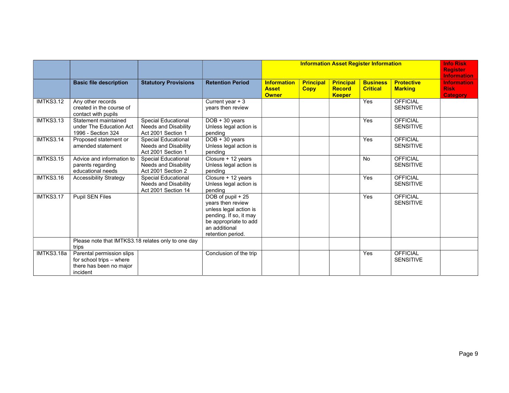|                  |                                                                                              |                                                                                  |                                                                                                                                                           |                                                    | <b>Information Asset Register Information</b> |                                                    |                                    |                                     |                                                      |  |
|------------------|----------------------------------------------------------------------------------------------|----------------------------------------------------------------------------------|-----------------------------------------------------------------------------------------------------------------------------------------------------------|----------------------------------------------------|-----------------------------------------------|----------------------------------------------------|------------------------------------|-------------------------------------|------------------------------------------------------|--|
|                  | <b>Basic file description</b>                                                                | <b>Statutory Provisions</b>                                                      | <b>Retention Period</b>                                                                                                                                   | <b>Information</b><br><b>Asset</b><br><b>Owner</b> | <b>Principal</b><br><b>Copy</b>               | <b>Principal</b><br><b>Record</b><br><b>Keeper</b> | <b>Business</b><br><b>Critical</b> | <b>Protective</b><br><b>Marking</b> | <b>Information</b><br><b>Risk</b><br><b>Category</b> |  |
| IMTKS3.12        | Any other records<br>created in the course of<br>contact with pupils                         |                                                                                  | Current year $+3$<br>years then review                                                                                                                    |                                                    |                                               |                                                    | Yes                                | <b>OFFICIAL</b><br><b>SENSITIVE</b> |                                                      |  |
| IMTKS3.13        | Statement maintained<br>under The Education Act<br>1996 - Section 324                        | <b>Special Educational</b><br><b>Needs and Disability</b><br>Act 2001 Section 1  | $DOB + 30 years$<br>Unless legal action is<br>pending                                                                                                     |                                                    |                                               |                                                    | Yes                                | <b>OFFICIAL</b><br><b>SENSITIVE</b> |                                                      |  |
| <b>IMTKS3.14</b> | Proposed statement or<br>amended statement                                                   | <b>Special Educational</b><br><b>Needs and Disability</b><br>Act 2001 Section 1  | $DOB + 30 years$<br>Unless legal action is<br>pending                                                                                                     |                                                    |                                               |                                                    | Yes                                | <b>OFFICIAL</b><br><b>SENSITIVE</b> |                                                      |  |
| <b>IMTKS3.15</b> | Advice and information to<br>parents regarding<br>educational needs                          | <b>Special Educational</b><br><b>Needs and Disability</b><br>Act 2001 Section 2  | Closure + 12 years<br>Unless legal action is<br>pending                                                                                                   |                                                    |                                               |                                                    | No                                 | <b>OFFICIAL</b><br><b>SENSITIVE</b> |                                                      |  |
| <b>IMTKS3.16</b> | <b>Accessibility Strategy</b>                                                                | <b>Special Educational</b><br><b>Needs and Disability</b><br>Act 2001 Section 14 | Closure + 12 years<br>Unless legal action is<br>pending                                                                                                   |                                                    |                                               |                                                    | Yes                                | <b>OFFICIAL</b><br><b>SENSITIVE</b> |                                                      |  |
| IMTKS3.17        | <b>Pupil SEN Files</b>                                                                       |                                                                                  | DOB of pupil + 25<br>years then review<br>unless legal action is<br>pending. If so, it may<br>be appropriate to add<br>an additional<br>retention period. |                                                    |                                               |                                                    | Yes                                | <b>OFFICIAL</b><br><b>SENSITIVE</b> |                                                      |  |
|                  | Please note that IMTKS3.18 relates only to one day<br>trips                                  |                                                                                  |                                                                                                                                                           |                                                    |                                               |                                                    |                                    |                                     |                                                      |  |
| IMTKS3.18a       | Parental permission slips<br>for school trips - where<br>there has been no major<br>incident |                                                                                  | Conclusion of the trip                                                                                                                                    |                                                    |                                               |                                                    | Yes                                | <b>OFFICIAL</b><br><b>SENSITIVE</b> |                                                      |  |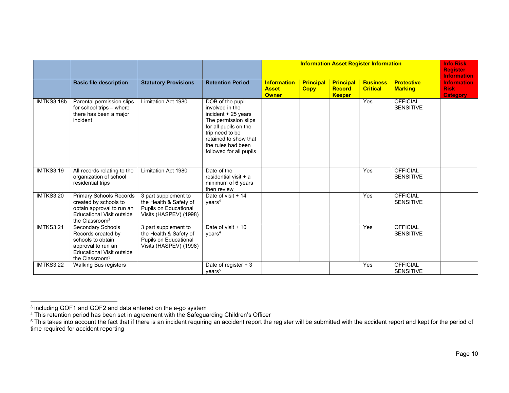|                  |                                                                                                                                                        |                                                                                                   |                                                                                                                                                                                                          |                                                    |                                 |                                                    | <b>Information Asset Register Information</b> |                                     | <b>Info Risk</b><br><b>Register</b><br><b>Information</b> |
|------------------|--------------------------------------------------------------------------------------------------------------------------------------------------------|---------------------------------------------------------------------------------------------------|----------------------------------------------------------------------------------------------------------------------------------------------------------------------------------------------------------|----------------------------------------------------|---------------------------------|----------------------------------------------------|-----------------------------------------------|-------------------------------------|-----------------------------------------------------------|
|                  | <b>Basic file description</b>                                                                                                                          | <b>Statutory Provisions</b>                                                                       | <b>Retention Period</b>                                                                                                                                                                                  | <b>Information</b><br><b>Asset</b><br><b>Owner</b> | <b>Principal</b><br><b>Copy</b> | <b>Principal</b><br><b>Record</b><br><b>Keeper</b> | <b>Business</b><br><b>Critical</b>            | <b>Protective</b><br><b>Marking</b> | <b>Information</b><br><b>Risk</b><br><b>Category</b>      |
| IMTKS3.18b       | Parental permission slips<br>for school trips - where<br>there has been a major<br>incident                                                            | Limitation Act 1980                                                                               | DOB of the pupil<br>involved in the<br>incident + 25 years<br>The permission slips<br>for all pupils on the<br>trip need to be<br>retained to show that<br>the rules had been<br>followed for all pupils |                                                    |                                 |                                                    | Yes                                           | <b>OFFICIAL</b><br><b>SENSITIVE</b> |                                                           |
| IMTKS3.19        | All records relating to the<br>organization of school<br>residential trips                                                                             | Limitation Act 1980                                                                               | Date of the<br>residential visit + a<br>minimum of 6 years<br>then review                                                                                                                                |                                                    |                                 |                                                    | Yes                                           | <b>OFFICIAL</b><br><b>SENSITIVE</b> |                                                           |
| <b>IMTKS3.20</b> | <b>Primary Schools Records</b><br>created by schools to<br>obtain approval to run an<br><b>Educational Visit outside</b><br>the Classroom <sup>3</sup> | 3 part supplement to<br>the Health & Safety of<br>Pupils on Educational<br>Visits (HASPEV) (1998) | Date of visit + 14<br>years <sup>4</sup>                                                                                                                                                                 |                                                    |                                 |                                                    | Yes                                           | <b>OFFICIAL</b><br><b>SENSITIVE</b> |                                                           |
| <b>IMTKS3.21</b> | Secondary Schools<br>Records created by<br>schools to obtain<br>approval to run an<br><b>Educational Visit outside</b><br>the Classroom <sup>3</sup>   | 3 part supplement to<br>the Health & Safety of<br>Pupils on Educational<br>Visits (HASPEV) (1998) | Date of visit + 10<br>years <sup>4</sup>                                                                                                                                                                 |                                                    |                                 |                                                    | Yes                                           | <b>OFFICIAL</b><br><b>SENSITIVE</b> |                                                           |
| <b>IMTKS3.22</b> | Walking Bus registers                                                                                                                                  |                                                                                                   | Date of register $+3$<br>vears <sup>5</sup>                                                                                                                                                              |                                                    |                                 |                                                    | Yes                                           | <b>OFFICIAL</b><br><b>SENSITIVE</b> |                                                           |

<sup>&</sup>lt;sup>3</sup> including GOF1 and GOF2 and data entered on the e-go system<br><sup>4</sup> This retention period has been set in agreement with the Safeguarding Children's Officer<br><sup>5</sup> This takes into account the fact that if there is an incident time required for accident reporting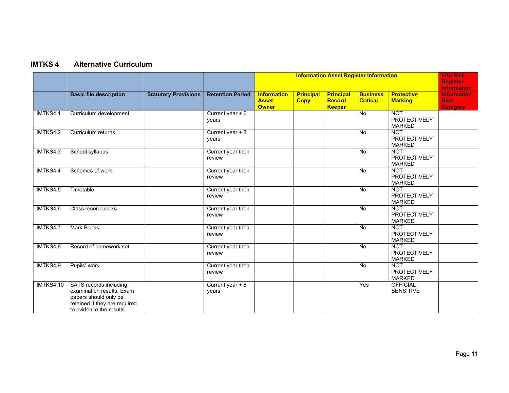# IMTKS 4 Alternative Curriculum

|                  |                                                                                                                                          |                             |                             |                                                    |                                 |                                                    | <b>Information Asset Register Information</b> |                                                    | <b>Info Risk</b><br><b>Register</b><br><b>Information</b> |
|------------------|------------------------------------------------------------------------------------------------------------------------------------------|-----------------------------|-----------------------------|----------------------------------------------------|---------------------------------|----------------------------------------------------|-----------------------------------------------|----------------------------------------------------|-----------------------------------------------------------|
|                  | <b>Basic file description</b>                                                                                                            | <b>Statutory Provisions</b> | <b>Retention Period</b>     | <b>Information</b><br><b>Asset</b><br><b>Owner</b> | <b>Principal</b><br><b>Copy</b> | <b>Principal</b><br><b>Record</b><br><b>Keeper</b> | <b>Business</b><br><b>Critical</b>            | <b>Protective</b><br><b>Marking</b>                | <b>Information</b><br><b>Risk</b><br><b>Category</b>      |
| IMTKS4.1         | Curriculum development                                                                                                                   |                             | Current year $+6$<br>years  |                                                    |                                 |                                                    | <b>No</b>                                     | <b>NOT</b><br><b>PROTECTIVELY</b><br><b>MARKED</b> |                                                           |
| IMTKS4.2         | Curriculum returns                                                                                                                       |                             | Current year $+3$<br>years  |                                                    |                                 |                                                    | <b>No</b>                                     | <b>NOT</b><br><b>PROTECTIVELY</b><br><b>MARKED</b> |                                                           |
| IMTKS4.3         | School syllabus                                                                                                                          |                             | Current year then<br>review |                                                    |                                 |                                                    | <b>No</b>                                     | <b>NOT</b><br><b>PROTECTIVELY</b><br><b>MARKED</b> |                                                           |
| IMTKS4.4         | Schemes of work                                                                                                                          |                             | Current year then<br>review |                                                    |                                 |                                                    | <b>No</b>                                     | <b>NOT</b><br><b>PROTECTIVELY</b><br><b>MARKED</b> |                                                           |
| IMTKS4.5         | Timetable                                                                                                                                |                             | Current year then<br>review |                                                    |                                 |                                                    | <b>No</b>                                     | <b>NOT</b><br><b>PROTECTIVELY</b><br><b>MARKED</b> |                                                           |
| IMTKS4.6         | Class record books                                                                                                                       |                             | Current year then<br>review |                                                    |                                 |                                                    | <b>No</b>                                     | <b>NOT</b><br><b>PROTECTIVELY</b><br><b>MARKED</b> |                                                           |
| IMTKS4.7         | <b>Mark Books</b>                                                                                                                        |                             | Current year then<br>review |                                                    |                                 |                                                    | <b>No</b>                                     | <b>NOT</b><br><b>PROTECTIVELY</b><br><b>MARKED</b> |                                                           |
| IMTKS4.8         | Record of homework set                                                                                                                   |                             | Current year then<br>review |                                                    |                                 |                                                    | <b>No</b>                                     | <b>NOT</b><br><b>PROTECTIVELY</b><br><b>MARKED</b> |                                                           |
| IMTKS4.9         | Pupils' work                                                                                                                             |                             | Current year then<br>review |                                                    |                                 |                                                    | <b>No</b>                                     | <b>NOT</b><br><b>PROTECTIVELY</b><br><b>MARKED</b> |                                                           |
| <b>IMTKS4.10</b> | SATS records including<br>examination results. Exam<br>papers should only be<br>retained if they are required<br>to evidence the results |                             | Current year $+6$<br>years  |                                                    |                                 |                                                    | Yes                                           | <b>OFFICIAL</b><br><b>SENSITIVE</b>                |                                                           |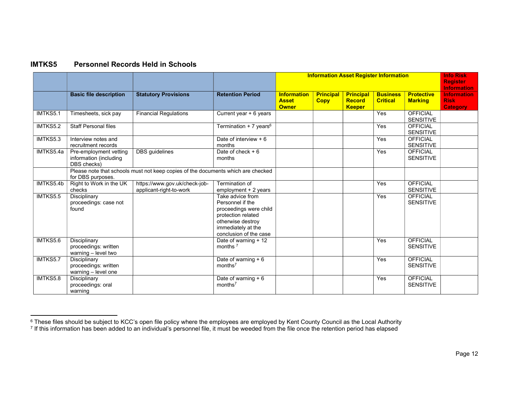#### IMTKS5 Personnel Records Held in Schools

|           |                                                                    |                                                                                  |                                                                                                                                                           |                                                    |                                 |                                                    | <b>Information Asset Register Information</b> |                                     | <b>Info Risk</b><br><b>Register</b><br><b>Information</b> |
|-----------|--------------------------------------------------------------------|----------------------------------------------------------------------------------|-----------------------------------------------------------------------------------------------------------------------------------------------------------|----------------------------------------------------|---------------------------------|----------------------------------------------------|-----------------------------------------------|-------------------------------------|-----------------------------------------------------------|
|           | <b>Basic file description</b>                                      | <b>Statutory Provisions</b>                                                      | <b>Retention Period</b>                                                                                                                                   | <b>Information</b><br><b>Asset</b><br><b>Owner</b> | <b>Principal</b><br><b>Copy</b> | <b>Principal</b><br><b>Record</b><br><b>Keeper</b> | <b>Business</b><br><b>Critical</b>            | <b>Protective</b><br><b>Marking</b> | <b>Information</b><br><b>Risk</b><br><b>Category</b>      |
| IMTKS5.1  | Timesheets, sick pay                                               | <b>Financial Regulations</b>                                                     | Current year $+6$ years                                                                                                                                   |                                                    |                                 |                                                    | Yes                                           | <b>OFFICIAL</b><br><b>SENSITIVE</b> |                                                           |
| IMTKS5.2  | <b>Staff Personal files</b>                                        |                                                                                  | Termination $+7$ years <sup>6</sup>                                                                                                                       |                                                    |                                 |                                                    | Yes                                           | <b>OFFICIAL</b><br><b>SENSITIVE</b> |                                                           |
| IMTKS5.3  | Interview notes and<br>recruitment records                         |                                                                                  | Date of interview $+6$<br>months                                                                                                                          |                                                    |                                 |                                                    | $\bar{Y}$ es                                  | <b>OFFICIAL</b><br><b>SENSITIVE</b> |                                                           |
| IMTKS5.4a | Pre-employment vetting<br>information (including<br>DBS checks)    | <b>DBS</b> guidelines                                                            | Date of check $+6$<br>months                                                                                                                              |                                                    |                                 |                                                    | Yes                                           | <b>OFFICIAL</b><br><b>SENSITIVE</b> |                                                           |
|           | for DBS purposes.                                                  | Please note that schools must not keep copies of the documents which are checked |                                                                                                                                                           |                                                    |                                 |                                                    |                                               |                                     |                                                           |
| IMTKS5.4b | Right to Work in the UK<br>checks                                  | https://www.gov.uk/check-job-<br>applicant-right-to-work                         | Termination of<br>employment + 2 years                                                                                                                    |                                                    |                                 |                                                    | Yes                                           | <b>OFFICIAL</b><br><b>SENSITIVE</b> |                                                           |
| IMTKS5.5  | Disciplinary<br>proceedings: case not<br>found                     |                                                                                  | Take advice from<br>Personnel if the<br>proceedings were child<br>protection related<br>otherwise destroy<br>immediately at the<br>conclusion of the case |                                                    |                                 |                                                    | Yes                                           | <b>OFFICIAL</b><br><b>SENSITIVE</b> |                                                           |
| IMTKS5.6  | <b>Disciplinary</b><br>proceedings: written<br>warning - level two |                                                                                  | Date of warning + 12<br>months $7$                                                                                                                        |                                                    |                                 |                                                    | Yes                                           | <b>OFFICIAL</b><br><b>SENSITIVE</b> |                                                           |
| IMTKS5.7  | Disciplinary<br>proceedings: written<br>warning - level one        |                                                                                  | Date of warning $+6$<br>months <sup>7</sup>                                                                                                               |                                                    |                                 |                                                    | Yes                                           | <b>OFFICIAL</b><br><b>SENSITIVE</b> |                                                           |
| IMTKS5.8  | Disciplinary<br>proceedings: oral<br>warning                       |                                                                                  | Date of warning $+6$<br>months <sup>7</sup>                                                                                                               |                                                    |                                 |                                                    | Yes                                           | <b>OFFICIAL</b><br><b>SENSITIVE</b> |                                                           |

<sup>&</sup>lt;sup>6</sup> These files should be subject to KCC's open file policy where the employees are employed by Kent County Council as the Local Authority<br><sup>7</sup> If this information has been added to an individual's personnel file, it must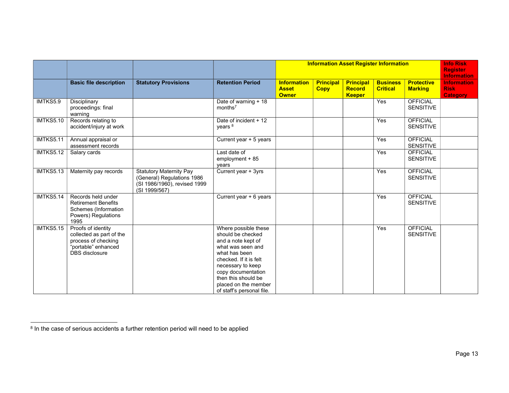|                  |                                                                                                                       |                                                                                                               |                                                                                                                                                                                                                                                        |                                                    |                                 |                                                    | <b>Information Asset Register Information</b> |                                     | <b>Info Risk</b><br><b>Register</b><br><b>Information</b> |
|------------------|-----------------------------------------------------------------------------------------------------------------------|---------------------------------------------------------------------------------------------------------------|--------------------------------------------------------------------------------------------------------------------------------------------------------------------------------------------------------------------------------------------------------|----------------------------------------------------|---------------------------------|----------------------------------------------------|-----------------------------------------------|-------------------------------------|-----------------------------------------------------------|
|                  | <b>Basic file description</b>                                                                                         | <b>Statutory Provisions</b>                                                                                   | <b>Retention Period</b>                                                                                                                                                                                                                                | <b>Information</b><br><b>Asset</b><br><b>Owner</b> | <b>Principal</b><br><b>Copy</b> | <b>Principal</b><br><b>Record</b><br><b>Keeper</b> | <b>Business</b><br><b>Critical</b>            | <b>Protective</b><br><b>Marking</b> | <b>Information</b><br><b>Risk</b><br><b>Category</b>      |
| IMTKS5.9         | Disciplinary<br>proceedings: final<br>warning                                                                         |                                                                                                               | Date of warning + 18<br>months <sup>7</sup>                                                                                                                                                                                                            |                                                    |                                 |                                                    | Yes                                           | <b>OFFICIAL</b><br><b>SENSITIVE</b> |                                                           |
| <b>IMTKS5.10</b> | Records relating to<br>accident/injury at work                                                                        |                                                                                                               | Date of incident + 12<br>years <sup>8</sup>                                                                                                                                                                                                            |                                                    |                                 |                                                    | Yes                                           | <b>OFFICIAL</b><br><b>SENSITIVE</b> |                                                           |
| <b>IMTKS5.11</b> | Annual appraisal or<br>assessment records                                                                             |                                                                                                               | Current year + 5 years                                                                                                                                                                                                                                 |                                                    |                                 |                                                    | Yes                                           | <b>OFFICIAL</b><br><b>SENSITIVE</b> |                                                           |
| <b>IMTKS5.12</b> | Salary cards                                                                                                          |                                                                                                               | Last date of<br>$employment + 85$<br>years                                                                                                                                                                                                             |                                                    |                                 |                                                    | Yes                                           | <b>OFFICIAL</b><br><b>SENSITIVE</b> |                                                           |
| <b>IMTKS5.13</b> | Maternity pay records                                                                                                 | <b>Statutory Maternity Pay</b><br>(General) Regulations 1986<br>(SI 1986/1960), revised 1999<br>(SI 1999/567) | Current year + 3yrs                                                                                                                                                                                                                                    |                                                    |                                 |                                                    | Yes                                           | <b>OFFICIAL</b><br><b>SENSITIVE</b> |                                                           |
| IMTKS5.14        | Records held under<br><b>Retirement Benefits</b><br>Schemes (Information<br>Powers) Regulations<br>1995               |                                                                                                               | Current year + 6 years                                                                                                                                                                                                                                 |                                                    |                                 |                                                    | Yes                                           | <b>OFFICIAL</b><br><b>SENSITIVE</b> |                                                           |
| <b>IMTKS5.15</b> | Proofs of identity<br>collected as part of the<br>process of checking<br>"portable" enhanced<br><b>DBS</b> disclosure |                                                                                                               | Where possible these<br>should be checked<br>and a note kept of<br>what was seen and<br>what has been<br>checked. If it is felt<br>necessary to keep<br>copy documentation<br>then this should be<br>placed on the member<br>of staff's personal file. |                                                    |                                 |                                                    | Yes                                           | <b>OFFICIAL</b><br><b>SENSITIVE</b> |                                                           |

<sup>&</sup>lt;sup>8</sup> In the case of serious accidents a further retention period will need to be applied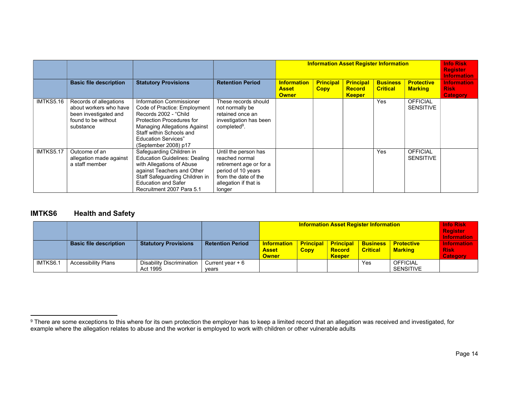|           |                                                                                                               |                                                                                                                                                                                                                                          |                                                                                                                                                    |                                                    | <b>Information Asset Register Information</b> |                                                    |                                    |                                     |                                                      |  |
|-----------|---------------------------------------------------------------------------------------------------------------|------------------------------------------------------------------------------------------------------------------------------------------------------------------------------------------------------------------------------------------|----------------------------------------------------------------------------------------------------------------------------------------------------|----------------------------------------------------|-----------------------------------------------|----------------------------------------------------|------------------------------------|-------------------------------------|------------------------------------------------------|--|
|           | <b>Basic file description</b>                                                                                 | <b>Statutory Provisions</b>                                                                                                                                                                                                              | <b>Retention Period</b>                                                                                                                            | <u>Information</u><br><b>Asset</b><br><b>Owner</b> | <b>Principal</b><br><b>Copy</b>               | <b>Principal</b><br><b>Record</b><br><b>Keeper</b> | <b>Business</b><br><b>Critical</b> | <b>Protective</b><br><b>Marking</b> | <b>Information</b><br><b>Risk</b><br><b>Category</b> |  |
| IMTKS5.16 | Records of allegations<br>about workers who have<br>been investigated and<br>found to be without<br>substance | Information Commissioner<br>Code of Practice: Employment<br>Records 2002 - "Child"<br>Protection Procedures for<br><b>Managing Allegations Against</b><br>Staff within Schools and<br><b>Education Services"</b><br>(September 2008) p17 | These records should<br>not normally be<br>retained once an<br>investigation has been<br>completed <sup>9</sup> .                                  |                                                    |                                               |                                                    | Yes                                | <b>OFFICIAL</b><br><b>SENSITIVE</b> |                                                      |  |
| IMTKS5.17 | Outcome of an<br>allegation made against<br>a staff member                                                    | Safeguarding Children in<br><b>Education Guidelines: Dealing</b><br>with Allegations of Abuse<br>against Teachers and Other<br>Staff Safeguarding Children in<br><b>Education and Safer</b><br>Recruitment 2007 Para 5.1                 | Until the person has<br>reached normal<br>retirement age or for a<br>period of 10 years<br>from the date of the<br>allegation if that is<br>longer |                                                    |                                               |                                                    | Yes                                | <b>OFFICIAL</b><br><b>SENSITIVE</b> |                                                      |  |

#### IMTKS6 Health and Safety

|          |                               |                                       |                            |                                                    | <b>Info Risk</b><br><b>Register</b><br><b>Information</b> |                                                    |                                    |                                     |                                               |
|----------|-------------------------------|---------------------------------------|----------------------------|----------------------------------------------------|-----------------------------------------------------------|----------------------------------------------------|------------------------------------|-------------------------------------|-----------------------------------------------|
|          | <b>Basic file description</b> | <b>Statutory Provisions</b>           | <b>Retention Period</b>    | <b>Information</b><br><b>Asset</b><br><b>Owner</b> | <b>Principal</b><br><b>Copy</b>                           | <b>Principal</b><br><b>Record</b><br><b>Keeper</b> | <b>Business</b><br><b>Critical</b> | <b>Protective</b><br><b>Marking</b> | <b>Information</b><br><b>Risk</b><br>Category |
| IMTKS6.1 | <b>Accessibility Plans</b>    | Disability Discrimination<br>Act 1995 | Current year $+6$<br>vears |                                                    |                                                           |                                                    | Yes                                | <b>OFFICIAL</b><br><b>SENSITIVE</b> |                                               |

 $^9$  There are some exceptions to this where for its own protection the employer has to keep a limited record that an allegation was received and investigated, for example where the allegation relates to abuse and the worker is employed to work with children or other vulnerable adults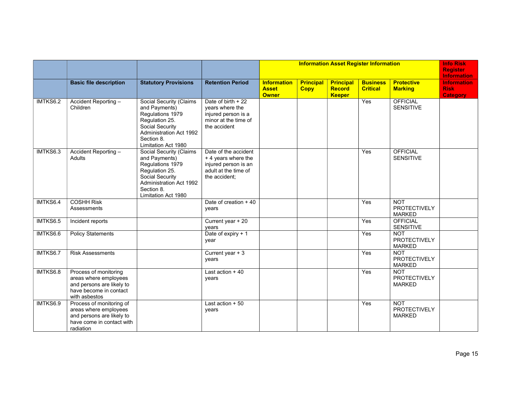|          |                                                                                                                          |                                                                                                                                                                                 |                                                                                                               |                                                    |                                 | <b>Information Asset Register Information</b>      |                                    |                                                    | <b>Info Risk</b><br><b>Register</b><br><b>Information</b> |
|----------|--------------------------------------------------------------------------------------------------------------------------|---------------------------------------------------------------------------------------------------------------------------------------------------------------------------------|---------------------------------------------------------------------------------------------------------------|----------------------------------------------------|---------------------------------|----------------------------------------------------|------------------------------------|----------------------------------------------------|-----------------------------------------------------------|
|          | <b>Basic file description</b>                                                                                            | <b>Statutory Provisions</b>                                                                                                                                                     | <b>Retention Period</b>                                                                                       | <b>Information</b><br><b>Asset</b><br><b>Owner</b> | <b>Principal</b><br><b>Copy</b> | <b>Principal</b><br><b>Record</b><br><b>Keeper</b> | <b>Business</b><br><b>Critical</b> | <b>Protective</b><br><b>Marking</b>                | <b>Information</b><br><b>Risk</b><br><b>Category</b>      |
| IMTKS6.2 | Accident Reporting -<br>Children                                                                                         | <b>Social Security (Claims</b><br>and Payments)<br>Regulations 1979<br>Regulation 25.<br>Social Security<br><b>Administration Act 1992</b><br>Section 8.<br>Limitation Act 1980 | Date of birth + 22<br>years where the<br>injured person is a<br>minor at the time of<br>the accident          |                                                    |                                 |                                                    | Yes                                | <b>OFFICIAL</b><br><b>SENSITIVE</b>                |                                                           |
| IMTKS6.3 | Accident Reporting -<br>Adults                                                                                           | Social Security (Claims<br>and Payments)<br>Regulations 1979<br>Regulation 25.<br>Social Security<br>Administration Act 1992<br>Section 8.<br>Limitation Act 1980               | Date of the accident<br>$+4$ years where the<br>injured person is an<br>adult at the time of<br>the accident: |                                                    |                                 |                                                    | Yes                                | <b>OFFICIAL</b><br><b>SENSITIVE</b>                |                                                           |
| IMTKS6.4 | <b>COSHH Risk</b><br>Assessments                                                                                         |                                                                                                                                                                                 | Date of creation + 40<br>years                                                                                |                                                    |                                 |                                                    | Yes                                | <b>NOT</b><br><b>PROTECTIVELY</b><br><b>MARKED</b> |                                                           |
| IMTKS6.5 | Incident reports                                                                                                         |                                                                                                                                                                                 | Current year + 20<br>years                                                                                    |                                                    |                                 |                                                    | Yes                                | <b>OFFICIAL</b><br><b>SENSITIVE</b>                |                                                           |
| IMTKS6.6 | <b>Policy Statements</b>                                                                                                 |                                                                                                                                                                                 | Date of expiry + 1<br>year                                                                                    |                                                    |                                 |                                                    | Yes                                | <b>NOT</b><br><b>PROTECTIVELY</b><br><b>MARKED</b> |                                                           |
| IMTKS6.7 | <b>Risk Assessments</b>                                                                                                  |                                                                                                                                                                                 | Current year + 3<br>years                                                                                     |                                                    |                                 |                                                    | Yes                                | <b>NOT</b><br><b>PROTECTIVELY</b><br><b>MARKED</b> |                                                           |
| IMTKS6.8 | Process of monitoring<br>areas where employees<br>and persons are likely to<br>have become in contact<br>with asbestos   |                                                                                                                                                                                 | Last action $+40$<br>years                                                                                    |                                                    |                                 |                                                    | Yes                                | <b>NOT</b><br>PROTECTIVELY<br><b>MARKED</b>        |                                                           |
| IMTKS6.9 | Process of monitoring of<br>areas where employees<br>and persons are likely to<br>have come in contact with<br>radiation |                                                                                                                                                                                 | Last action $+50$<br>years                                                                                    |                                                    |                                 |                                                    | Yes                                | <b>NOT</b><br><b>PROTECTIVELY</b><br><b>MARKED</b> |                                                           |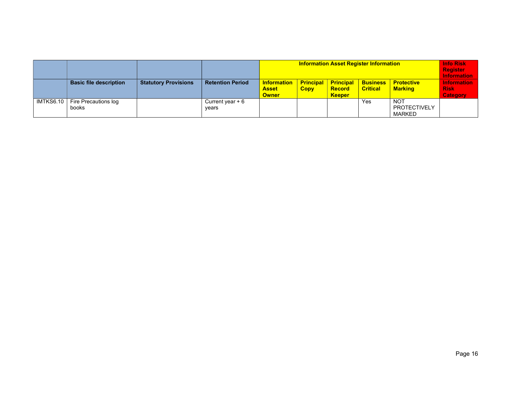|           |                               |                             |                            |                                                    | <b>Info Risk</b><br><b>Register</b><br><b>Information</b> |                                                    |                                    |                                                    |                                                      |
|-----------|-------------------------------|-----------------------------|----------------------------|----------------------------------------------------|-----------------------------------------------------------|----------------------------------------------------|------------------------------------|----------------------------------------------------|------------------------------------------------------|
|           | <b>Basic file description</b> | <b>Statutory Provisions</b> | <b>Retention Period</b>    | <b>Information</b><br><b>Asset</b><br><b>Owner</b> | <b>Principal</b><br><b>Copy</b>                           | <b>Principal</b><br><b>Record</b><br><b>Keeper</b> | <b>Business</b><br><b>Critical</b> | <b>Protective</b><br><b>Marking</b>                | <b>Information</b><br><b>Risk</b><br><b>Category</b> |
| IMTKS6.10 | Fire Precautions log<br>books |                             | Current year $+6$<br>vears |                                                    |                                                           |                                                    | Yes                                | <b>NOT</b><br><b>PROTECTIVELY</b><br><b>MARKED</b> |                                                      |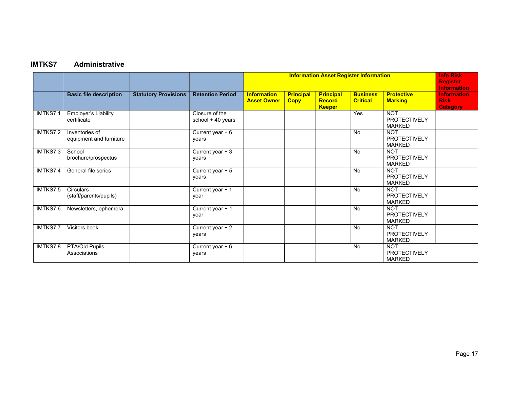# IMTKS7 Administrative

|          |                                            |                             |                                     |                                          |                                 |                                                    | <b>Information Asset Register Information</b> |                                                    | <b>Info Risk</b><br><b>Register</b><br><b>Information</b> |
|----------|--------------------------------------------|-----------------------------|-------------------------------------|------------------------------------------|---------------------------------|----------------------------------------------------|-----------------------------------------------|----------------------------------------------------|-----------------------------------------------------------|
|          | <b>Basic file description</b>              | <b>Statutory Provisions</b> | <b>Retention Period</b>             | <b>Information</b><br><b>Asset Owner</b> | <b>Principal</b><br><b>Copy</b> | <b>Principal</b><br><b>Record</b><br><b>Keeper</b> | <b>Business</b><br><b>Critical</b>            | <b>Protective</b><br><b>Marking</b>                | <b>Information</b><br><b>Risk</b><br><b>Category</b>      |
| IMTKS7.1 | <b>Employer's Liability</b><br>certificate |                             | Closure of the<br>school + 40 years |                                          |                                 |                                                    | Yes                                           | <b>NOT</b><br><b>PROTECTIVELY</b><br><b>MARKED</b> |                                                           |
| IMTKS7.2 | Inventories of<br>equipment and furniture  |                             | Current year $+6$<br>years          |                                          |                                 |                                                    | <b>No</b>                                     | <b>NOT</b><br><b>PROTECTIVELY</b><br><b>MARKED</b> |                                                           |
| IMTKS7.3 | School<br>brochure/prospectus              |                             | Current year + 3<br>years           |                                          |                                 |                                                    | <b>No</b>                                     | <b>NOT</b><br><b>PROTECTIVELY</b><br><b>MARKED</b> |                                                           |
| IMTKS7.4 | General file series                        |                             | Current year + 5<br>years           |                                          |                                 |                                                    | <b>No</b>                                     | <b>NOT</b><br><b>PROTECTIVELY</b><br><b>MARKED</b> |                                                           |
| IMTKS7.5 | Circulars<br>(staff/parents/pupils)        |                             | Current year + 1<br>year            |                                          |                                 |                                                    | <b>No</b>                                     | <b>NOT</b><br><b>PROTECTIVELY</b><br><b>MARKED</b> |                                                           |
| IMTKS7.6 | Newsletters, ephemera                      |                             | Current year + 1<br>year            |                                          |                                 |                                                    | <b>No</b>                                     | <b>NOT</b><br><b>PROTECTIVELY</b><br><b>MARKED</b> |                                                           |
| IMTKS7.7 | Visitors book                              |                             | Current year $+2$<br>years          |                                          |                                 |                                                    | <b>No</b>                                     | <b>NOT</b><br><b>PROTECTIVELY</b><br><b>MARKED</b> |                                                           |
| IMTKS7.8 | <b>PTA/Old Pupils</b><br>Associations      |                             | Current year + 6<br>years           |                                          |                                 |                                                    | <b>No</b>                                     | <b>NOT</b><br><b>PROTECTIVELY</b><br><b>MARKED</b> |                                                           |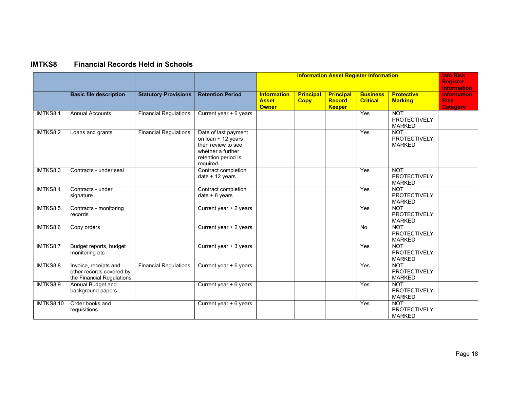# IMTKS8 Financial Records Held in Schools

|                  |                                                                                |                              |                                                                                                                          |                                                    |                                 |                                                    | <b>Information Asset Register Information</b> |                                                    | <b>Info Risk</b><br><b>Register</b><br><b>Information</b> |
|------------------|--------------------------------------------------------------------------------|------------------------------|--------------------------------------------------------------------------------------------------------------------------|----------------------------------------------------|---------------------------------|----------------------------------------------------|-----------------------------------------------|----------------------------------------------------|-----------------------------------------------------------|
|                  | <b>Basic file description</b>                                                  | <b>Statutory Provisions</b>  | <b>Retention Period</b>                                                                                                  | <b>Information</b><br><b>Asset</b><br><b>Owner</b> | <b>Principal</b><br><b>Copy</b> | <b>Principal</b><br><b>Record</b><br><b>Keeper</b> | <b>Business</b><br><b>Critical</b>            | <b>Protective</b><br><b>Marking</b>                | <b>Information</b><br><b>Risk</b><br><b>Category</b>      |
| IMTKS8.1         | <b>Annual Accounts</b>                                                         | <b>Financial Regulations</b> | Current year + 6 years                                                                                                   |                                                    |                                 |                                                    | Yes                                           | <b>NOT</b><br><b>PROTECTIVELY</b><br><b>MARKED</b> |                                                           |
| IMTKS8.2         | Loans and grants                                                               | <b>Financial Regulations</b> | Date of last payment<br>on loan + 12 years<br>then review to see<br>whether a further<br>retention period is<br>required |                                                    |                                 |                                                    | Yes                                           | <b>NOT</b><br><b>PROTECTIVELY</b><br><b>MARKED</b> |                                                           |
| IMTKS8.3         | Contracts - under seal                                                         |                              | Contract completion<br>date + 12 years                                                                                   |                                                    |                                 |                                                    | Yes                                           | <b>NOT</b><br><b>PROTECTIVELY</b><br><b>MARKED</b> |                                                           |
| IMTKS8.4         | Contracts - under<br>signature                                                 |                              | Contract completion<br>date $+6$ years                                                                                   |                                                    |                                 |                                                    | Yes                                           | <b>NOT</b><br><b>PROTECTIVELY</b><br><b>MARKED</b> |                                                           |
| IMTKS8.5         | Contracts - monitoring<br>records                                              |                              | Current year + 2 years                                                                                                   |                                                    |                                 |                                                    | Yes                                           | <b>NOT</b><br><b>PROTECTIVELY</b><br><b>MARKED</b> |                                                           |
| IMTKS8.6         | Copy orders                                                                    |                              | Current year + 2 years                                                                                                   |                                                    |                                 |                                                    | No                                            | <b>NOT</b><br><b>PROTECTIVELY</b><br><b>MARKED</b> |                                                           |
| IMTKS8.7         | Budget reports, budget<br>monitoring etc                                       |                              | Current year + 3 years                                                                                                   |                                                    |                                 |                                                    | Yes                                           | <b>NOT</b><br><b>PROTECTIVELY</b><br><b>MARKED</b> |                                                           |
| IMTKS8.8         | Invoice, receipts and<br>other records covered by<br>the Financial Regulations | <b>Financial Regulations</b> | Current year + 6 years                                                                                                   |                                                    |                                 |                                                    | Yes                                           | <b>NOT</b><br><b>PROTECTIVELY</b><br><b>MARKED</b> |                                                           |
| IMTKS8.9         | Annual Budget and<br>background papers                                         |                              | Current year + 6 years                                                                                                   |                                                    |                                 |                                                    | Yes                                           | <b>NOT</b><br>PROTECTIVELY<br><b>MARKED</b>        |                                                           |
| <b>IMTKS8.10</b> | Order books and<br>requisitions                                                |                              | Current year + 6 years                                                                                                   |                                                    |                                 |                                                    | Yes                                           | <b>NOT</b><br><b>PROTECTIVELY</b><br><b>MARKED</b> |                                                           |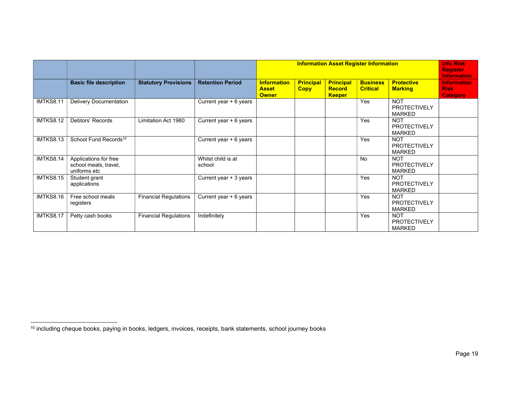|                  |                                                                |                              |                              |                                                    | <b>Information Asset Register Information</b> |                                                    |                                    |                                                    |                                                      |  |
|------------------|----------------------------------------------------------------|------------------------------|------------------------------|----------------------------------------------------|-----------------------------------------------|----------------------------------------------------|------------------------------------|----------------------------------------------------|------------------------------------------------------|--|
|                  | <b>Basic file description</b>                                  | <b>Statutory Provisions</b>  | <b>Retention Period</b>      | <b>Information</b><br><b>Asset</b><br><b>Owner</b> | <b>Principal</b><br><b>Copy</b>               | <b>Principal</b><br><b>Record</b><br><b>Keeper</b> | <b>Business</b><br><b>Critical</b> | <b>Protective</b><br><b>Marking</b>                | <b>Information</b><br><b>Risk</b><br><b>Category</b> |  |
| IMTKS8.11        | <b>Delivery Documentation</b>                                  |                              | Current year $+6$ years      |                                                    |                                               |                                                    | Yes                                | <b>NOT</b><br><b>PROTECTIVELY</b><br><b>MARKED</b> |                                                      |  |
| <b>IMTKS8.12</b> | Debtors' Records                                               | Limitation Act 1980          | Current year + 6 years       |                                                    |                                               |                                                    | Yes                                | <b>NOT</b><br><b>PROTECTIVELY</b><br><b>MARKED</b> |                                                      |  |
| IMTKS8.13        | School Fund Records <sup>10</sup>                              |                              | Current year + 6 years       |                                                    |                                               |                                                    | Yes                                | <b>NOT</b><br><b>PROTECTIVELY</b><br><b>MARKED</b> |                                                      |  |
| <b>IMTKS8.14</b> | Applications for free<br>school meals, travel,<br>uniforms etc |                              | Whilst child is at<br>school |                                                    |                                               |                                                    | <b>No</b>                          | <b>NOT</b><br><b>PROTECTIVELY</b><br><b>MARKED</b> |                                                      |  |
| <b>IMTKS8.15</b> | Student grant<br>applications                                  |                              | Current year + 3 years       |                                                    |                                               |                                                    | Yes                                | <b>NOT</b><br><b>PROTECTIVELY</b><br><b>MARKED</b> |                                                      |  |
| IMTKS8.16        | Free school meals<br>registers                                 | <b>Financial Regulations</b> | Current year + 6 years       |                                                    |                                               |                                                    | Yes                                | <b>NOT</b><br>PROTECTIVELY<br><b>MARKED</b>        |                                                      |  |
| IMTKS8.17        | Petty cash books                                               | <b>Financial Regulations</b> | Indefinitely                 |                                                    |                                               |                                                    | Yes                                | <b>NOT</b><br><b>PROTECTIVELY</b><br><b>MARKED</b> |                                                      |  |

<sup>10</sup> including cheque books, paying in books, ledgers, invoices, receipts, bank statements, school journey books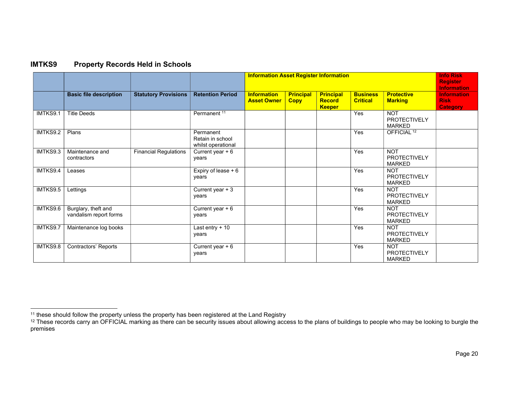| <b>IMTKS9</b> | <b>Property Records Held in Schools</b> |
|---------------|-----------------------------------------|
|---------------|-----------------------------------------|

|          |                                               |                              |                                                     |                                          | <b>Information Asset Register Information</b> |                                                    |                                    |                                                    |                                                      |  |
|----------|-----------------------------------------------|------------------------------|-----------------------------------------------------|------------------------------------------|-----------------------------------------------|----------------------------------------------------|------------------------------------|----------------------------------------------------|------------------------------------------------------|--|
|          | <b>Basic file description</b>                 | <b>Statutory Provisions</b>  | <b>Retention Period</b>                             | <b>Information</b><br><b>Asset Owner</b> | <b>Principal</b><br><b>Copy</b>               | <b>Principal</b><br><b>Record</b><br><b>Keeper</b> | <b>Business</b><br><b>Critical</b> | <b>Protective</b><br><b>Marking</b>                | <b>Information</b><br><b>Risk</b><br><b>Category</b> |  |
| IMTKS9.1 | <b>Title Deeds</b>                            |                              | Permanent <sup>11</sup>                             |                                          |                                               |                                                    | Yes                                | <b>NOT</b><br><b>PROTECTIVELY</b><br><b>MARKED</b> |                                                      |  |
| IMTKS9.2 | Plans                                         |                              | Permanent<br>Retain in school<br>whilst operational |                                          |                                               |                                                    | Yes                                | OFFICIAL <sup>12</sup>                             |                                                      |  |
| IMTKS9.3 | Maintenance and<br>contractors                | <b>Financial Regulations</b> | Current year $+6$<br>years                          |                                          |                                               |                                                    | Yes                                | <b>NOT</b><br><b>PROTECTIVELY</b><br><b>MARKED</b> |                                                      |  |
| IMTKS9.4 | Leases                                        |                              | Expiry of lease + 6<br>years                        |                                          |                                               |                                                    | Yes                                | <b>NOT</b><br><b>PROTECTIVELY</b><br><b>MARKED</b> |                                                      |  |
| IMTKS9.5 | Lettings                                      |                              | Current year $+3$<br>years                          |                                          |                                               |                                                    | Yes                                | <b>NOT</b><br><b>PROTECTIVELY</b><br><b>MARKED</b> |                                                      |  |
| IMTKS9.6 | Burglary, theft and<br>vandalism report forms |                              | Current year + 6<br>years                           |                                          |                                               |                                                    | Yes                                | <b>NOT</b><br><b>PROTECTIVELY</b><br><b>MARKED</b> |                                                      |  |
| IMTKS9.7 | Maintenance log books                         |                              | Last entry $+10$<br>years                           |                                          |                                               |                                                    | Yes                                | <b>NOT</b><br><b>PROTECTIVELY</b><br><b>MARKED</b> |                                                      |  |
| IMTKS9.8 | Contractors' Reports                          |                              | Current year $+6$<br>years                          |                                          |                                               |                                                    | Yes                                | <b>NOT</b><br><b>PROTECTIVELY</b><br><b>MARKED</b> |                                                      |  |

 $11$  these should follow the property unless the property has been registered at the Land Registry

 $^{12}$  These records carry an OFFICIAL marking as there can be security issues about allowing access to the plans of buildings to people who may be looking to burgle the premises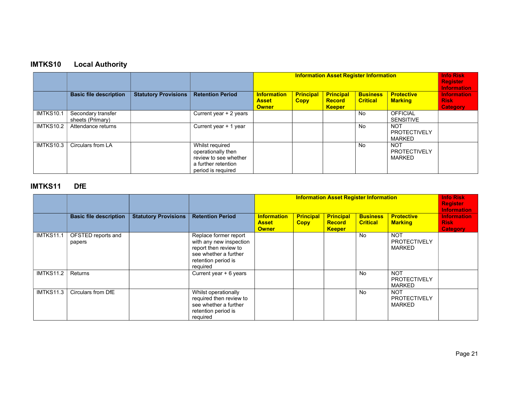# IMTKS10 Local Authority

|           |                                        |                             |                                                                                                             |                                                    | <b>Information Asset Register Information</b> |                                                    |                                    |                                                    |                                                      |  |
|-----------|----------------------------------------|-----------------------------|-------------------------------------------------------------------------------------------------------------|----------------------------------------------------|-----------------------------------------------|----------------------------------------------------|------------------------------------|----------------------------------------------------|------------------------------------------------------|--|
|           | <b>Basic file description</b>          | <b>Statutory Provisions</b> | <b>Retention Period</b>                                                                                     | <b>Information</b><br><b>Asset</b><br><b>Owner</b> | <b>Principal</b><br><b>Copy</b>               | <b>Principal</b><br><b>Record</b><br><b>Keeper</b> | <b>Business</b><br><b>Critical</b> | <b>Protective</b><br><b>Marking</b>                | <b>Information</b><br><b>Risk</b><br><b>Category</b> |  |
| IMTKS10.1 | Secondary transfer<br>sheets (Primary) |                             | Current year + 2 years                                                                                      |                                                    |                                               |                                                    | No.                                | <b>OFFICIAL</b><br><b>SENSITIVE</b>                |                                                      |  |
| IMTKS10.2 | Attendance returns                     |                             | Current year $+1$ year                                                                                      |                                                    |                                               |                                                    | No                                 | <b>NOT</b><br><b>PROTECTIVELY</b><br>MARKED        |                                                      |  |
| IMTKS10.3 | Circulars from LA                      |                             | Whilst required<br>operationally then<br>review to see whether<br>a further retention<br>period is required |                                                    |                                               |                                                    | No.                                | <b>NOT</b><br><b>PROTECTIVELY</b><br><b>MARKED</b> |                                                      |  |

## IMTKS11 DfE

|                  |                               |                             |                                                                                                                                       |                                                    | <b>Information Asset Register Information</b> |                                                    |                                    |                                                    |                                                      |  |
|------------------|-------------------------------|-----------------------------|---------------------------------------------------------------------------------------------------------------------------------------|----------------------------------------------------|-----------------------------------------------|----------------------------------------------------|------------------------------------|----------------------------------------------------|------------------------------------------------------|--|
|                  | <b>Basic file description</b> | <b>Statutory Provisions</b> | <b>Retention Period</b>                                                                                                               | <b>Information</b><br><b>Asset</b><br><b>Owner</b> | <b>Principal</b><br><b>Copy</b>               | <b>Principal</b><br><b>Record</b><br><b>Keeper</b> | <b>Business</b><br><b>Critical</b> | <b>Protective</b><br><b>Marking</b>                | <b>Information</b><br><b>Risk</b><br><b>Category</b> |  |
| <b>IMTKS11.1</b> | OFSTED reports and<br>papers  |                             | Replace former report<br>with any new inspection<br>report then review to<br>see whether a further<br>retention period is<br>required |                                                    |                                               |                                                    | No                                 | <b>NOT</b><br><b>PROTECTIVELY</b><br><b>MARKED</b> |                                                      |  |
| <b>IMTKS11.2</b> | Returns                       |                             | Current year + 6 years                                                                                                                |                                                    |                                               |                                                    | <b>No</b>                          | <b>NOT</b><br><b>PROTECTIVELY</b><br><b>MARKED</b> |                                                      |  |
| <b>IMTKS11.3</b> | Circulars from DfE            |                             | Whilst operationally<br>required then review to<br>see whether a further<br>retention period is<br>required                           |                                                    |                                               |                                                    | No                                 | <b>NOT</b><br><b>PROTECTIVELY</b><br><b>MARKED</b> |                                                      |  |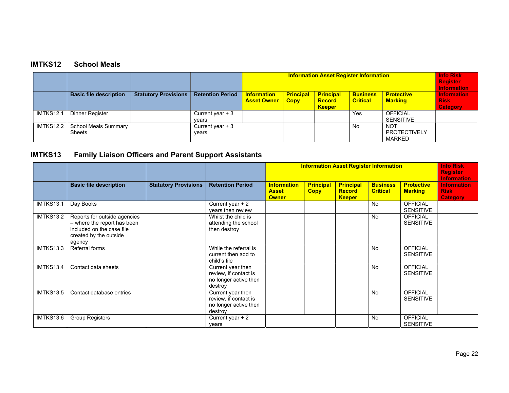# IMTKS12 School Meals

|                    |                                       |                             |                            |                                          | <b>Info Risk</b><br><b>Register</b><br><b>Information</b> |                                                    |                                    |                                             |                                                      |
|--------------------|---------------------------------------|-----------------------------|----------------------------|------------------------------------------|-----------------------------------------------------------|----------------------------------------------------|------------------------------------|---------------------------------------------|------------------------------------------------------|
|                    | <b>Basic file description</b>         | <b>Statutory Provisions</b> | <b>Retention Period</b>    | <b>Information</b><br><b>Asset Owner</b> | <b>Principal</b><br><b>Copy</b>                           | <b>Principal</b><br><b>Record</b><br><b>Keeper</b> | <b>Business</b><br><b>Critical</b> | <b>Protective</b><br><b>Marking</b>         | <b>Information</b><br><b>Risk</b><br><b>Category</b> |
| IMTKS12.1          | Dinner Register                       |                             | Current year $+3$<br>vears |                                          |                                                           |                                                    | Yes                                | <b>OFFICIAL</b><br><b>SENSITIVE</b>         |                                                      |
| <b>IMTKS12.2</b> 1 | School Meals Summary<br><b>Sheets</b> |                             | Current year $+3$<br>years |                                          |                                                           |                                                    | No                                 | <b>NOT</b><br><b>PROTECTIVELY</b><br>MARKED |                                                      |

# IMTKS13 Family Liaison Officers and Parent Support Assistants

|                  |                                                                                                                              |                             |                                                                                | <b>Information Asset Register Information</b>      |                                 |                                                    |                                    |                                     | <b>Info Risk</b><br><b>Register</b><br><b>Information</b> |
|------------------|------------------------------------------------------------------------------------------------------------------------------|-----------------------------|--------------------------------------------------------------------------------|----------------------------------------------------|---------------------------------|----------------------------------------------------|------------------------------------|-------------------------------------|-----------------------------------------------------------|
|                  | <b>Basic file description</b>                                                                                                | <b>Statutory Provisions</b> | <b>Retention Period</b>                                                        | <b>Information</b><br><b>Asset</b><br><b>Owner</b> | <b>Principal</b><br><b>Copy</b> | <b>Principal</b><br><b>Record</b><br><b>Keeper</b> | <b>Business</b><br><b>Critical</b> | <b>Protective</b><br><b>Marking</b> | <b>Information</b><br><b>Risk</b><br><b>Category</b>      |
| IMTKS13.1        | Day Books                                                                                                                    |                             | Current year + 2<br>years then review                                          |                                                    |                                 |                                                    | <b>No</b>                          | <b>OFFICIAL</b><br><b>SENSITIVE</b> |                                                           |
| <b>IMTKS13.2</b> | Reports for outside agencies<br>- where the report has been<br>included on the case file<br>created by the outside<br>agency |                             | Whilst the child is<br>attending the school<br>then destroy                    |                                                    |                                 |                                                    | <b>No</b>                          | <b>OFFICIAL</b><br><b>SENSITIVE</b> |                                                           |
| <b>IMTKS13.3</b> | Referral forms                                                                                                               |                             | While the referral is<br>current then add to<br>child's file                   |                                                    |                                 |                                                    | <b>No</b>                          | <b>OFFICIAL</b><br><b>SENSITIVE</b> |                                                           |
| IMTKS13.4        | Contact data sheets                                                                                                          |                             | Current year then<br>review, if contact is<br>no longer active then<br>destroy |                                                    |                                 |                                                    | <b>No</b>                          | <b>OFFICIAL</b><br><b>SENSITIVE</b> |                                                           |
| IMTKS13.5        | Contact database entries                                                                                                     |                             | Current year then<br>review, if contact is<br>no longer active then<br>destroy |                                                    |                                 |                                                    | <b>No</b>                          | <b>OFFICIAL</b><br><b>SENSITIVE</b> |                                                           |
| IMTKS13.6        | <b>Group Registers</b>                                                                                                       |                             | Current year $+2$<br>years                                                     |                                                    |                                 |                                                    | No                                 | <b>OFFICIAL</b><br><b>SENSITIVE</b> |                                                           |